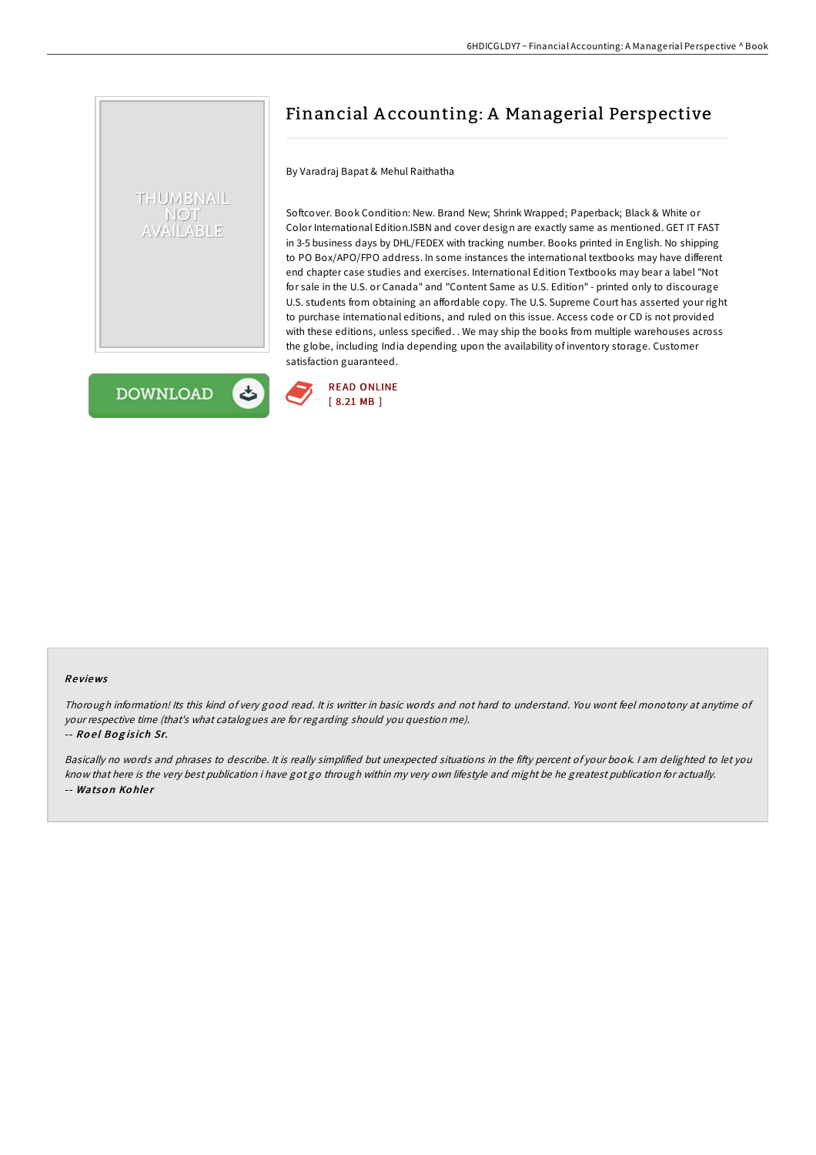# THUMBNAIL **NOT** AILABLE

**DOWNLOAD** 

# Financial A ccounting: A Managerial Perspective

By Varadraj Bapat & Mehul Raithatha

Softcover. Book Condition: New. Brand New; Shrink Wrapped; Paperback; Black & White or Color International Edition.ISBN and cover design are exactly same as mentioned. GET IT FAST in 3-5 business days by DHL/FEDEX with tracking number. Books printed in English. No shipping to PO Box/APO/FPO address. In some instances the international textbooks may have different end chapter case studies and exercises. International Edition Textbooks may bear a label "Not for sale in the U.S. or Canada" and "Content Same as U.S. Edition" - printed only to discourage U.S. students from obtaining an affordable copy. The U.S. Supreme Court has asserted your right to purchase international editions, and ruled on this issue. Access code or CD is not provided with these editions, unless specified. . We may ship the books from multiple warehouses across the globe, including India depending upon the availability of inventory storage. Customer satisfaction guaranteed.



#### Re views

Thorough information! Its this kind of very good read. It is writter in basic words and not hard to understand. You wont feel monotony at anytime of your respective time (that's what catalogues are for regarding should you question me). -- Roel Bogisich Sr.

Basically no words and phrases to describe. It is really simplified but unexpected situations in the fifty percent of your book. I am delighted to let you know that here is the very best publication i have got go through within my very own lifestyle and might be he greatest publication for actually. -- Watson Kohler